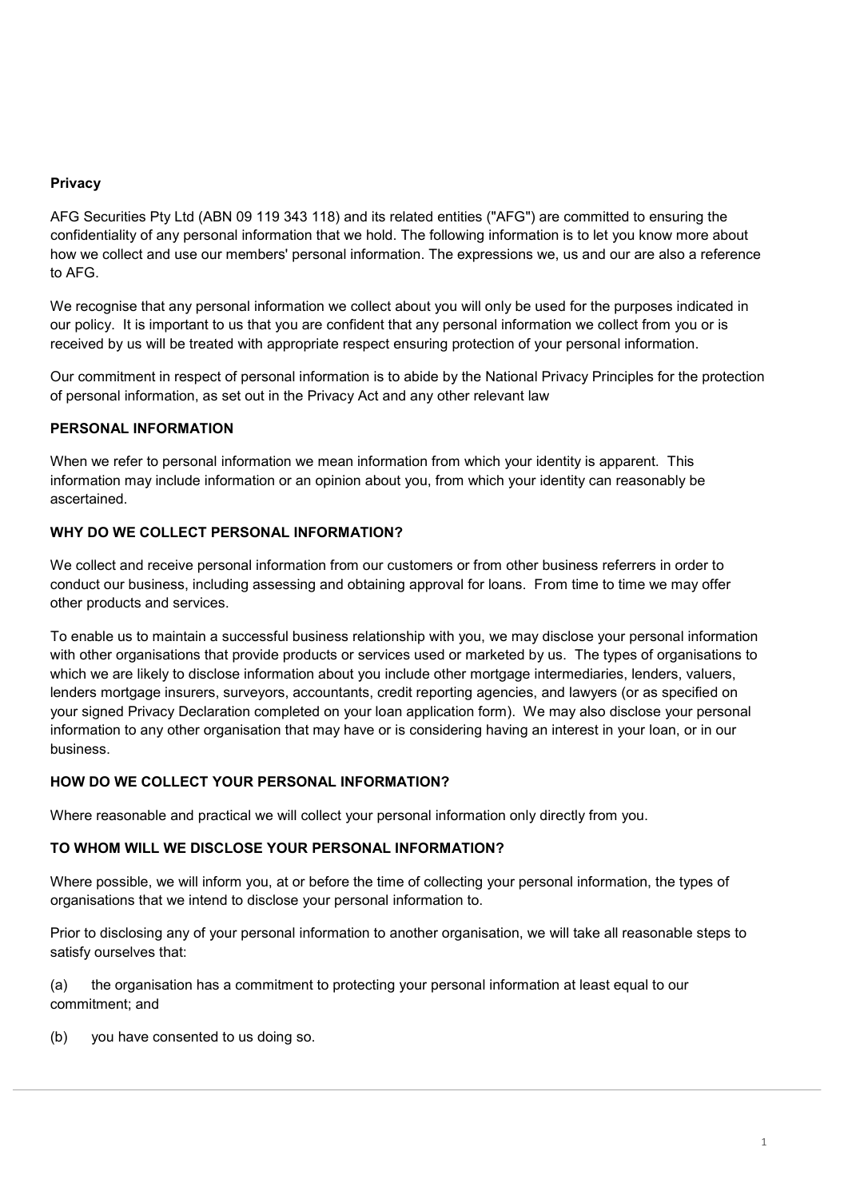### **Privacy**

AFG Securities Pty Ltd (ABN 09 119 343 118) and its related entities ("AFG") are committed to ensuring the confidentiality of any personal information that we hold. The following information is to let you know more about how we collect and use our members' personal information. The expressions we, us and our are also a reference to AFG.

We recognise that any personal information we collect about you will only be used for the purposes indicated in our policy. It is important to us that you are confident that any personal information we collect from you or is received by us will be treated with appropriate respect ensuring protection of your personal information.

Our commitment in respect of personal information is to abide by the National Privacy Principles for the protection of personal information, as set out in the Privacy Act and any other relevant law

## **PERSONAL INFORMATION**

When we refer to personal information we mean information from which your identity is apparent. This information may include information or an opinion about you, from which your identity can reasonably be ascertained.

# **WHY DO WE COLLECT PERSONAL INFORMATION?**

We collect and receive personal information from our customers or from other business referrers in order to conduct our business, including assessing and obtaining approval for loans. From time to time we may offer other products and services.

To enable us to maintain a successful business relationship with you, we may disclose your personal information with other organisations that provide products or services used or marketed by us. The types of organisations to which we are likely to disclose information about you include other mortgage intermediaries, lenders, valuers, lenders mortgage insurers, surveyors, accountants, credit reporting agencies, and lawyers (or as specified on your signed Privacy Declaration completed on your loan application form). We may also disclose your personal information to any other organisation that may have or is considering having an interest in your loan, or in our business.

### **HOW DO WE COLLECT YOUR PERSONAL INFORMATION?**

Where reasonable and practical we will collect your personal information only directly from you.

### **TO WHOM WILL WE DISCLOSE YOUR PERSONAL INFORMATION?**

Where possible, we will inform you, at or before the time of collecting your personal information, the types of organisations that we intend to disclose your personal information to.

Prior to disclosing any of your personal information to another organisation, we will take all reasonable steps to satisfy ourselves that:

(a) the organisation has a commitment to protecting your personal information at least equal to our commitment; and

(b) you have consented to us doing so.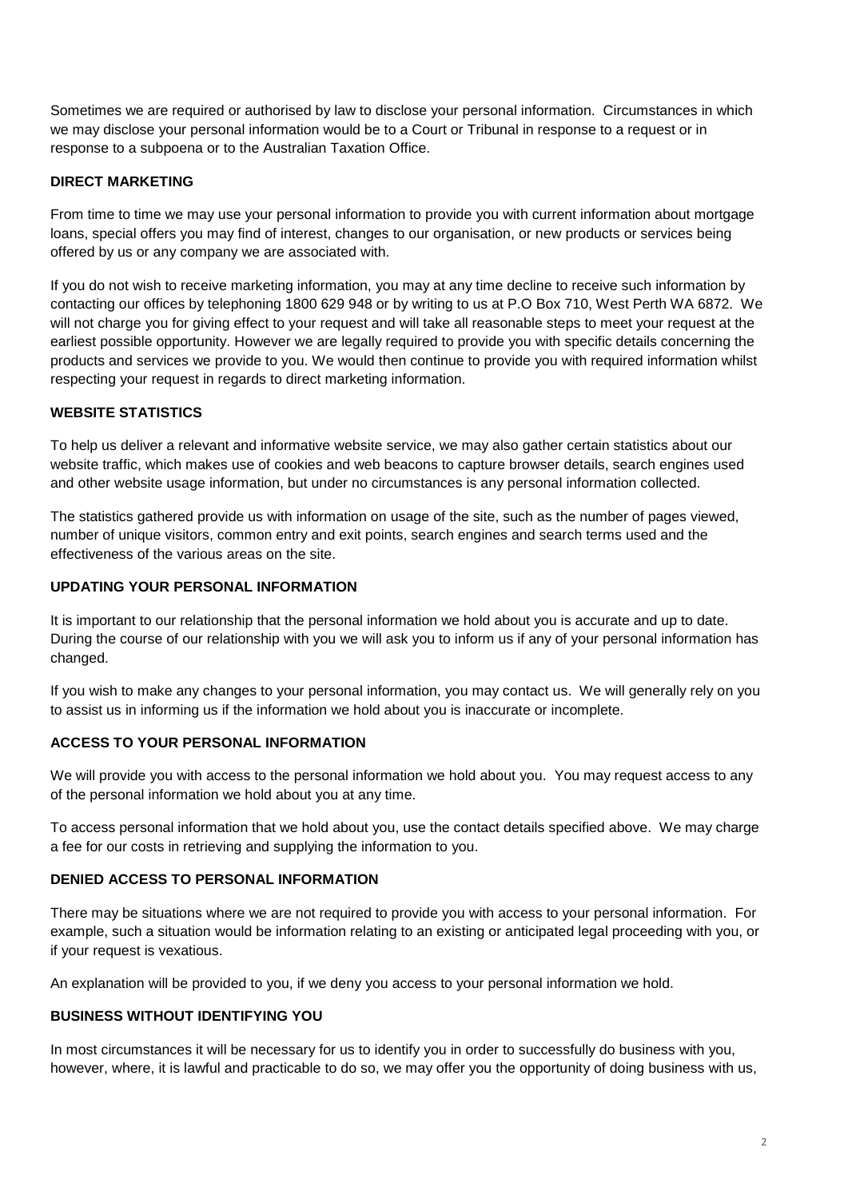Sometimes we are required or authorised by law to disclose your personal information. Circumstances in which we may disclose your personal information would be to a Court or Tribunal in response to a request or in response to a subpoena or to the Australian Taxation Office.

## **DIRECT MARKETING**

From time to time we may use your personal information to provide you with current information about mortgage loans, special offers you may find of interest, changes to our organisation, or new products or services being offered by us or any company we are associated with.

If you do not wish to receive marketing information, you may at any time decline to receive such information by contacting our offices by telephoning 1800 629 948 or by writing to us at P.O Box 710, West Perth WA 6872. We will not charge you for giving effect to your request and will take all reasonable steps to meet your request at the earliest possible opportunity. However we are legally required to provide you with specific details concerning the products and services we provide to you. We would then continue to provide you with required information whilst respecting your request in regards to direct marketing information.

## **WEBSITE STATISTICS**

To help us deliver a relevant and informative website service, we may also gather certain statistics about our website traffic, which makes use of cookies and web beacons to capture browser details, search engines used and other website usage information, but under no circumstances is any personal information collected.

The statistics gathered provide us with information on usage of the site, such as the number of pages viewed, number of unique visitors, common entry and exit points, search engines and search terms used and the effectiveness of the various areas on the site.

## **UPDATING YOUR PERSONAL INFORMATION**

It is important to our relationship that the personal information we hold about you is accurate and up to date. During the course of our relationship with you we will ask you to inform us if any of your personal information has changed.

If you wish to make any changes to your personal information, you may contact us. We will generally rely on you to assist us in informing us if the information we hold about you is inaccurate or incomplete.

## **ACCESS TO YOUR PERSONAL INFORMATION**

We will provide you with access to the personal information we hold about you. You may request access to any of the personal information we hold about you at any time.

To access personal information that we hold about you, use the contact details specified above. We may charge a fee for our costs in retrieving and supplying the information to you.

### **DENIED ACCESS TO PERSONAL INFORMATION**

There may be situations where we are not required to provide you with access to your personal information. For example, such a situation would be information relating to an existing or anticipated legal proceeding with you, or if your request is vexatious.

An explanation will be provided to you, if we deny you access to your personal information we hold.

### **BUSINESS WITHOUT IDENTIFYING YOU**

In most circumstances it will be necessary for us to identify you in order to successfully do business with you, however, where, it is lawful and practicable to do so, we may offer you the opportunity of doing business with us,